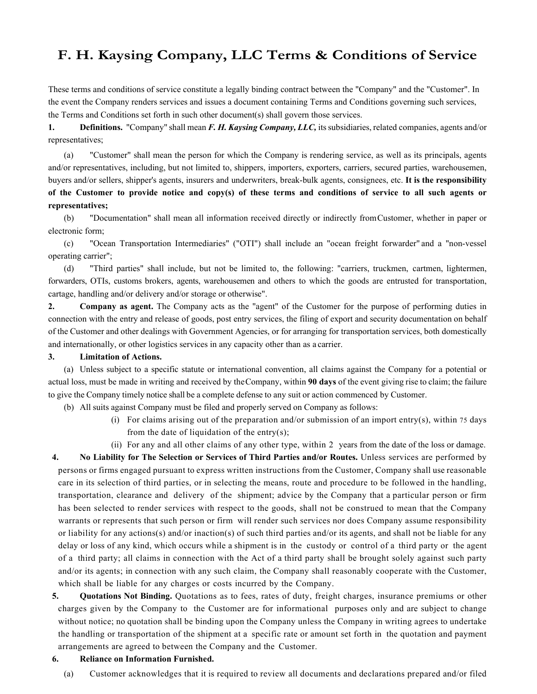# **F. H. Kaysing Company, LLC Terms & Conditions of Service**

These terms and conditions of service constitute a legally binding contract between the "Company" and the "Customer". In the event the Company renders services and issues a document containing Terms and Conditions governing such services, the Terms and Conditions set forth in such other document(s) shall govern those services.

**1. Definitions.** "Company" shall mean *F. H. Kaysing Company, LLC,* its subsidiaries, related companies, agents and/or representatives;

(a) "Customer" shall mean the person for which the Company is rendering service, as well as its principals, agents and/or representatives, including, but not limited to, shippers, importers, exporters, carriers, secured parties, warehousemen, buyers and/or sellers, shipper's agents, insurers and underwriters, break-bulk agents, consignees, etc. **It is the responsibility of the Customer to provide notice and copy(s) of these terms and conditions of service to all such agents or representatives;**

(b) "Documentation" shall mean all information received directly or indirectly fromCustomer, whether in paper or electronic form;

(c) "Ocean Transportation Intermediaries" ("OTI") shall include an "ocean freight forwarder" and a "non-vessel operating carrier";

(d) "Third parties" shall include, but not be limited to, the following: "carriers, truckmen, cartmen, lightermen, forwarders, OTIs, customs brokers, agents, warehousemen and others to which the goods are entrusted for transportation, cartage, handling and/or delivery and/or storage or otherwise".

**2. Company as agent.** The Company acts as the "agent" of the Customer for the purpose of performing duties in connection with the entry and release of goods, post entry services, the filing of export and security documentation on behalf of the Customer and other dealings with Government Agencies, or for arranging for transportation services, both domestically and internationally, or other logistics services in any capacity other than as a carrier.

# **3. Limitation of Actions.**

(a) Unless subject to a specific statute or international convention, all claims against the Company for a potential or actual loss, must be made in writing and received by theCompany, within **90 days** of the event giving rise to claim; the failure to give the Company timely notice shall be a complete defense to any suit or action commenced by Customer.

(b) All suits against Company must be filed and properly served on Company as follows:

- (i) For claims arising out of the preparation and/or submission of an import entry(s), within 75 days from the date of liquidation of the entry(s);
- (ii) For any and all other claims of any other type, within 2 years from the date of the loss or damage.

**4. No Liability for The Selection or Services of Third Parties and/or Routes.** Unless services are performed by persons or firms engaged pursuant to express written instructions from the Customer, Company shall use reasonable care in its selection of third parties, or in selecting the means, route and procedure to be followed in the handling, transportation, clearance and delivery of the shipment; advice by the Company that a particular person or firm has been selected to render services with respect to the goods, shall not be construed to mean that the Company warrants or represents that such person or firm will render such services nor does Company assume responsibility or liability for any actions(s) and/or inaction(s) of such third parties and/or its agents, and shall not be liable for any delay or loss of any kind, which occurs while a shipment is in the custody or control of a third party or the agent of a third party; all claims in connection with the Act of a third party shall be brought solely against such party and/or its agents; in connection with any such claim, the Company shall reasonably cooperate with the Customer, which shall be liable for any charges or costs incurred by the Company.

**5. Quotations Not Binding.** Quotations as to fees, rates of duty, freight charges, insurance premiums or other charges given by the Company to the Customer are for informational purposes only and are subject to change without notice; no quotation shall be binding upon the Company unless the Company in writing agrees to undertake the handling or transportation of the shipment at a specific rate or amount set forth in the quotation and payment arrangements are agreed to between the Company and the Customer.

#### **6. Reliance on Information Furnished.**

(a) Customer acknowledges that it is required to review all documents and declarations prepared and/or filed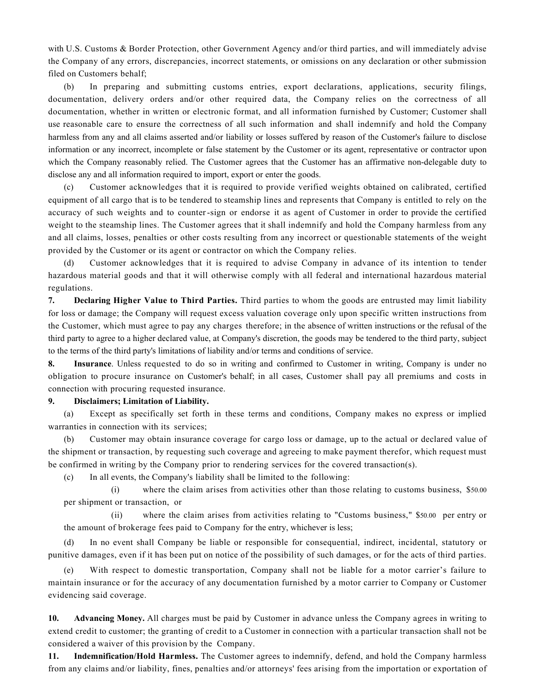with U.S. Customs & Border Protection, other Government Agency and/or third parties, and will immediately advise the Company of any errors, discrepancies, incorrect statements, or omissions on any declaration or other submission filed on Customers behalf;

(b) In preparing and submitting customs entries, export declarations, applications, security filings, documentation, delivery orders and/or other required data, the Company relies on the correctness of all documentation, whether in written or electronic format, and all information furnished by Customer; Customer shall use reasonable care to ensure the correctness of all such information and shall indemnify and hold the Company harmless from any and all claims asserted and/or liability or losses suffered by reason of the Customer's failure to disclose information or any incorrect, incomplete or false statement by the Customer or its agent, representative or contractor upon which the Company reasonably relied. The Customer agrees that the Customer has an affirmative non-delegable duty to disclose any and all information required to import, export or enter the goods.

(c) Customer acknowledges that it is required to provide verified weights obtained on calibrated, certified equipment of all cargo that is to be tendered to steamship lines and represents that Company is entitled to rely on the accuracy of such weights and to counter-sign or endorse it as agent of Customer in order to provide the certified weight to the steamship lines. The Customer agrees that it shall indemnify and hold the Company harmless from any and all claims, losses, penalties or other costs resulting from any incorrect or questionable statements of the weight provided by the Customer or its agent or contractor on which the Company relies.

(d) Customer acknowledges that it is required to advise Company in advance of its intention to tender hazardous material goods and that it will otherwise comply with all federal and international hazardous material regulations.

**7. Declaring Higher Value to Third Parties.** Third parties to whom the goods are entrusted may limit liability for loss or damage; the Company will request excess valuation coverage only upon specific written instructions from the Customer, which must agree to pay any charges therefore; in the absence of written instructions or the refusal of the third party to agree to a higher declared value, at Company's discretion, the goods may be tendered to the third party, subject to the terms of the third party's limitations of liability and/or terms and conditions of service.

**8. Insurance**. Unless requested to do so in writing and confirmed to Customer in writing, Company is under no obligation to procure insurance on Customer's behalf; in all cases, Customer shall pay all premiums and costs in connection with procuring requested insurance.

### **9. Disclaimers; Limitation of Liability.**

(a) Except as specifically set forth in these terms and conditions, Company makes no express or implied warranties in connection with its services;

(b) Customer may obtain insurance coverage for cargo loss or damage, up to the actual or declared value of the shipment or transaction, by requesting such coverage and agreeing to make payment therefor, which request must be confirmed in writing by the Company prior to rendering services for the covered transaction(s).

(c) In all events, the Company's liability shall be limited to the following:

(i) where the claim arises from activities other than those relating to customs business, \$50.00 per shipment or transaction, or

(ii) where the claim arises from activities relating to "Customs business," \$50.00 per entry or the amount of brokerage fees paid to Company for the entry, whichever is less;

(d) In no event shall Company be liable or responsible for consequential, indirect, incidental, statutory or punitive damages, even if it has been put on notice of the possibility of such damages, or for the acts of third parties.

With respect to domestic transportation, Company shall not be liable for a motor carrier's failure to maintain insurance or for the accuracy of any documentation furnished by a motor carrier to Company or Customer evidencing said coverage.

**10. Advancing Money.** All charges must be paid by Customer in advance unless the Company agrees in writing to extend credit to customer; the granting of credit to a Customer in connection with a particular transaction shall not be considered a waiver of this provision by the Company.

**11. Indemnification/Hold Harmless.** The Customer agrees to indemnify, defend, and hold the Company harmless from any claims and/or liability, fines, penalties and/or attorneys' fees arising from the importation or exportation of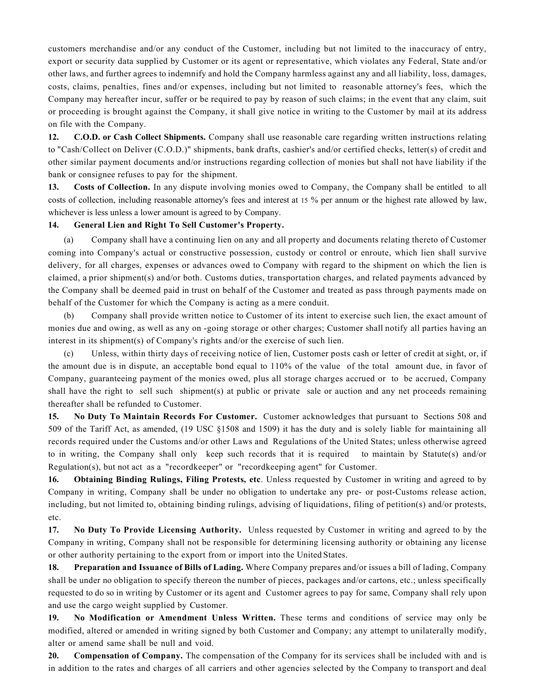customers merchandise and/or any conduct of the Customer, including but not limited to the inaccuracy of entry, export or security data supplied by Customer or its agent or representative, which violates any Federal, State and/or other laws, and further agrees to indemnify and hold the Company harmless against any and all liability, loss, damages, costs, claims, penalties, fines and/or expenses, including but not limited to reasonable attorney's fees, which the Company may hereafter incur, suffer or be required to pay by reason of such claims; in the event that any claim, suit or proceeding is brought against the Company, it shall give notice in writing to the Customer by mail at its address on file with the Company.

**12. C.O.D. or Cash Collect Shipments.** Company shall use reasonable care regarding written instructions relating to "Cash/Collect on Deliver (C.O.D.)" shipments, bank drafts, cashier's and/or certified checks, letter(s) of credit and other similar payment documents and/or instructions regarding collection of monies but shall not have liability if the bank or consignee refuses to pay for the shipment.

**13. Costs of Collection.** In any dispute involving monies owed to Company, the Company shall be entitled to all costs of collection, including reasonable attorney's fees and interest at 15 % per annum or the highest rate allowed by law, whichever is less unless a lower amount is agreed to by Company.

## **14. General Lien and Right To Sell Customer's Property.**

(a) Company shall have a continuing lien on any and all property and documents relating thereto of Customer coming into Company's actual or constructive possession, custody or control or enroute, which lien shall survive delivery, for all charges, expenses or advances owed to Company with regard to the shipment on which the lien is claimed, a prior shipment(s) and/or both. Customs duties, transportation charges, and related payments advanced by the Company shall be deemed paid in trust on behalf of the Customer and treated as pass through payments made on behalf of the Customer for which the Company is acting as a mere conduit.

(b) Company shall provide written notice to Customer of its intent to exercise such lien, the exact amount of monies due and owing, as well as any on -going storage or other charges; Customer shall notify all parties having an interest in its shipment(s) of Company's rights and/or the exercise of such lien.

(c) Unless, within thirty days of receiving notice of lien, Customer posts cash or letter of credit at sight, or, if the amount due is in dispute, an acceptable bond equal to 110% of the value of the total amount due, in favor of Company, guaranteeing payment of the monies owed, plus all storage charges accrued or to be accrued, Company shall have the right to sell such shipment(s) at public or private sale or auction and any net proceeds remaining thereafter shall be refunded to Customer.

**15. No Duty To Maintain Records For Customer.** Customer acknowledges that pursuant to Sections 508 and 509 of the Tariff Act, as amended, (19 USC §1508 and 1509) it has the duty and is solely liable for maintaining all records required under the Customs and/or other Laws and Regulations of the United States; unless otherwise agreed to in writing, the Company shall only keep such records that it is required to maintain by Statute(s) and/or Regulation(s), but not act as a "recordkeeper" or "recordkeeping agent" for Customer.

**16. Obtaining Binding Rulings, Filing Protests, etc**. Unless requested by Customer in writing and agreed to by Company in writing, Company shall be under no obligation to undertake any pre- or post-Customs release action, including, but not limited to, obtaining binding rulings, advising of liquidations, filing of petition(s) and/or protests, etc.

**17. No Duty To Provide Licensing Authority.** Unless requested by Customer in writing and agreed to by the Company in writing, Company shall not be responsible for determining licensing authority or obtaining any license or other authority pertaining to the export from or import into the United States.

**18. Preparation and Issuance of Bills of Lading.** Where Company prepares and/or issues a bill of lading, Company shall be under no obligation to specify thereon the number of pieces, packages and/or cartons, etc.; unless specifically requested to do so in writing by Customer or its agent and Customer agrees to pay for same, Company shall rely upon and use the cargo weight supplied by Customer.

**19. No Modification or Amendment Unless Written.** These terms and conditions of service may only be modified, altered or amended in writing signed by both Customer and Company; any attempt to unilaterally modify, alter or amend same shall be null and void.

**20. Compensation of Company.** The compensation of the Company for its services shall be included with and is in addition to the rates and charges of all carriers and other agencies selected by the Company to transport and deal